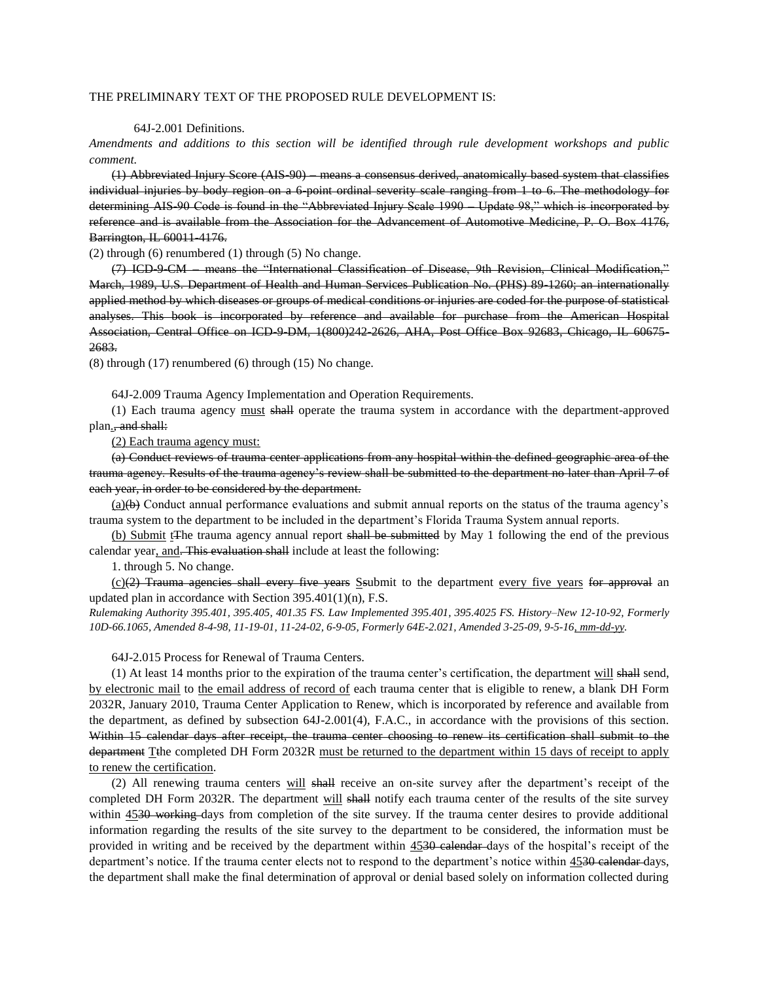## THE PRELIMINARY TEXT OF THE PROPOSED RULE DEVELOPMENT IS:

## 64J-2.001 Definitions.

*Amendments and additions to this section will be identified through rule development workshops and public comment.* 

(1) Abbreviated Injury Score (AIS-90) – means a consensus derived, anatomically based system that classifies individual injuries by body region on a 6 point ordinal severity scale ranging from 1 to 6. The methodology for determining AIS 90 Code is found in the "Abbreviated Injury Scale 1990 – Update 98," which is incorporated by reference and is available from the Association for the Advancement of Automotive Medicine, P. O. Box 4176, Barrington, IL 60011-4176.

(2) through (6) renumbered (1) through (5) No change.

(7) ICD-9-CM – means the "International Classification of Disease, 9th Revision, Clinical Modification," March, 1989, U.S. Department of Health and Human Services Publication No. (PHS) 89-1260; an internationally applied method by which diseases or groups of medical conditions or injuries are coded for the purpose of statistical analyses. This book is incorporated by reference and available for purchase from the American Hospital Association, Central Office on ICD-9-DM, 1(800)242-2626, AHA, Post Office Box 92683, Chicago, IL 60675- 2683.

(8) through (17) renumbered (6) through (15) No change.

64J-2.009 Trauma Agency Implementation and Operation Requirements.

(1) Each trauma agency must shall operate the trauma system in accordance with the department-approved plan., and shall:

(2) Each trauma agency must:

(a) Conduct reviews of trauma center applications from any hospital within the defined geographic area of the trauma agency. Results of the trauma agency's review shall be submitted to the department no later than April 7 of each year, in order to be considered by the department.

 $(a)(b)$  Conduct annual performance evaluations and submit annual reports on the status of the trauma agency's trauma system to the department to be included in the department's Florida Trauma System annual reports.

(b) Submit t<sub>The trauma agency annual report shall be submitted by May 1 following the end of the previous</sub> calendar year, and. This evaluation shall include at least the following:

1. through 5. No change.

 $(c)(2)$  Trauma agencies shall every five years Ssubmit to the department every five years for approval an updated plan in accordance with Section 395.401(1)(n), F.S.

*Rulemaking Authority 395.401, 395.405, 401.35 FS. Law Implemented 395.401, 395.4025 FS. History–New 12-10-92, Formerly 10D-66.1065, Amended 8-4-98, 11-19-01, 11-24-02, 6-9-05, Formerly 64E-2.021, Amended 3-25-09, 9-5-16, mm-dd-yy.*

64J-2.015 Process for Renewal of Trauma Centers.

(1) At least 14 months prior to the expiration of the trauma center's certification, the department will shall send, by electronic mail to the email address of record of each trauma center that is eligible to renew, a blank DH Form 2032R, January 2010, Trauma Center Application to Renew, which is incorporated by reference and available from the department, as defined by subsection 64J-2.001(4), F.A.C., in accordance with the provisions of this section. Within 15 calendar days after receipt, the trauma center choosing to renew its certification shall submit to the department T<sub>the completed DH Form 2032R must be returned to the department within 15 days of receipt to apply</sub> to renew the certification.

(2) All renewing trauma centers will shall receive an on-site survey after the department's receipt of the completed DH Form 2032R. The department will shall notify each trauma center of the results of the site survey within 4530 working days from completion of the site survey. If the trauma center desires to provide additional information regarding the results of the site survey to the department to be considered, the information must be provided in writing and be received by the department within 4530 calendar days of the hospital's receipt of the department's notice. If the trauma center elects not to respond to the department's notice within 4530 calendar days, the department shall make the final determination of approval or denial based solely on information collected during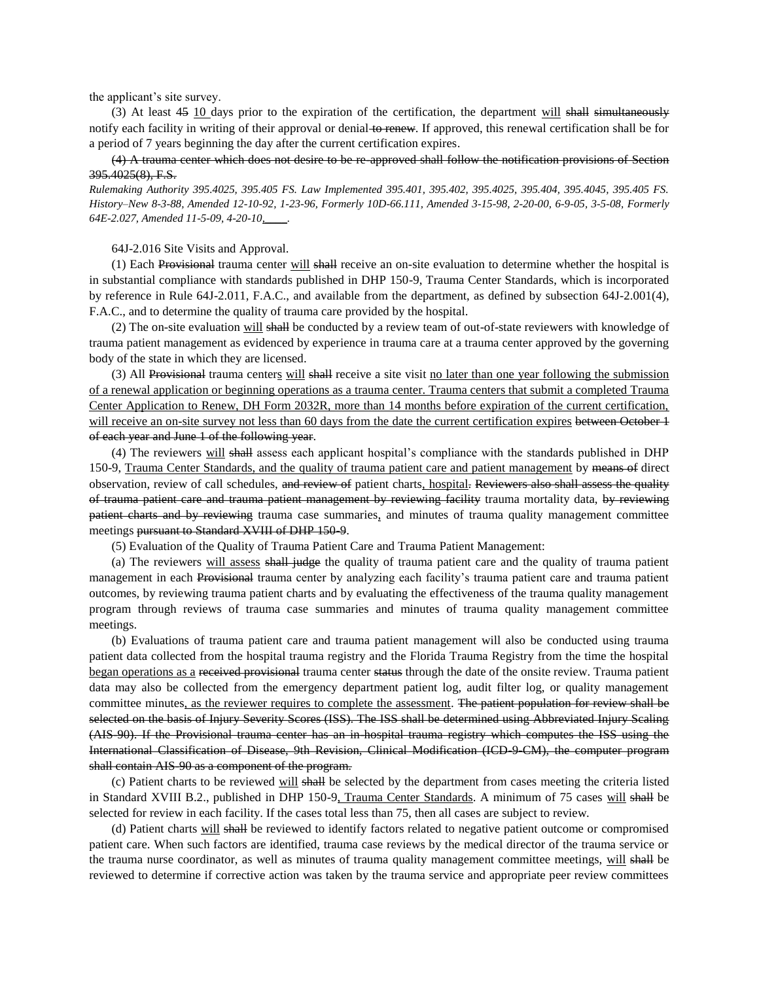the applicant's site survey.

(3) At least  $45 \underline{10}$  days prior to the expiration of the certification, the department will shall simultaneously notify each facility in writing of their approval or denial to renew. If approved, this renewal certification shall be for a period of 7 years beginning the day after the current certification expires.

(4) A trauma center which does not desire to be re-approved shall follow the notification provisions of Section 395.4025(8), F.S.

*Rulemaking Authority 395.4025, 395.405 FS. Law Implemented 395.401, 395.402, 395.4025, 395.404, 395.4045, 395.405 FS. History–New 8-3-88, Amended 12-10-92, 1-23-96, Formerly 10D-66.111, Amended 3-15-98, 2-20-00, 6-9-05, 3-5-08, Formerly 64E-2.027, Amended 11-5-09, 4-20-10,\_\_\_\_.*

64J-2.016 Site Visits and Approval.

(1) Each Provisional trauma center will shall receive an on-site evaluation to determine whether the hospital is in substantial compliance with standards published in DHP 150-9, Trauma Center Standards, which is incorporated by reference in Rule 64J-2.011, F.A.C., and available from the department, as defined by subsection 64J-2.001(4), F.A.C., and to determine the quality of trauma care provided by the hospital.

(2) The on-site evaluation will shall be conducted by a review team of out-of-state reviewers with knowledge of trauma patient management as evidenced by experience in trauma care at a trauma center approved by the governing body of the state in which they are licensed.

(3) All Provisional trauma centers will shall receive a site visit no later than one year following the submission of a renewal application or beginning operations as a trauma center. Trauma centers that submit a completed Trauma Center Application to Renew, DH Form 2032R, more than 14 months before expiration of the current certification, will receive an on-site survey not less than 60 days from the date the current certification expires between October 1 of each year and June 1 of the following year.

(4) The reviewers will shall assess each applicant hospital's compliance with the standards published in DHP 150-9, Trauma Center Standards, and the quality of trauma patient care and patient management by means of direct observation, review of call schedules, and review of patient charts, hospital. Reviewers also shall assess the quality of trauma patient care and trauma patient management by reviewing facility trauma mortality data, by reviewing patient charts and by reviewing trauma case summaries, and minutes of trauma quality management committee meetings pursuant to Standard XVIII of DHP 150-9.

(5) Evaluation of the Quality of Trauma Patient Care and Trauma Patient Management:

(a) The reviewers will assess shall judge the quality of trauma patient care and the quality of trauma patient management in each Provisional trauma center by analyzing each facility's trauma patient care and trauma patient outcomes, by reviewing trauma patient charts and by evaluating the effectiveness of the trauma quality management program through reviews of trauma case summaries and minutes of trauma quality management committee meetings.

(b) Evaluations of trauma patient care and trauma patient management will also be conducted using trauma patient data collected from the hospital trauma registry and the Florida Trauma Registry from the time the hospital began operations as a received provisional trauma center status through the date of the onsite review. Trauma patient data may also be collected from the emergency department patient log, audit filter log, or quality management committee minutes, as the reviewer requires to complete the assessment. The patient population for review shall be selected on the basis of Injury Severity Scores (ISS). The ISS shall be determined using Abbreviated Injury Scaling (AIS-90). If the Provisional trauma center has an in-hospital trauma registry which computes the ISS using the International Classification of Disease, 9th Revision, Clinical Modification (ICD-9-CM), the computer program shall contain AIS-90 as a component of the program.

(c) Patient charts to be reviewed will shall be selected by the department from cases meeting the criteria listed in Standard XVIII B.2., published in DHP 150-9, Trauma Center Standards. A minimum of 75 cases will shall be selected for review in each facility. If the cases total less than 75, then all cases are subject to review.

(d) Patient charts will shall be reviewed to identify factors related to negative patient outcome or compromised patient care. When such factors are identified, trauma case reviews by the medical director of the trauma service or the trauma nurse coordinator, as well as minutes of trauma quality management committee meetings, will shall be reviewed to determine if corrective action was taken by the trauma service and appropriate peer review committees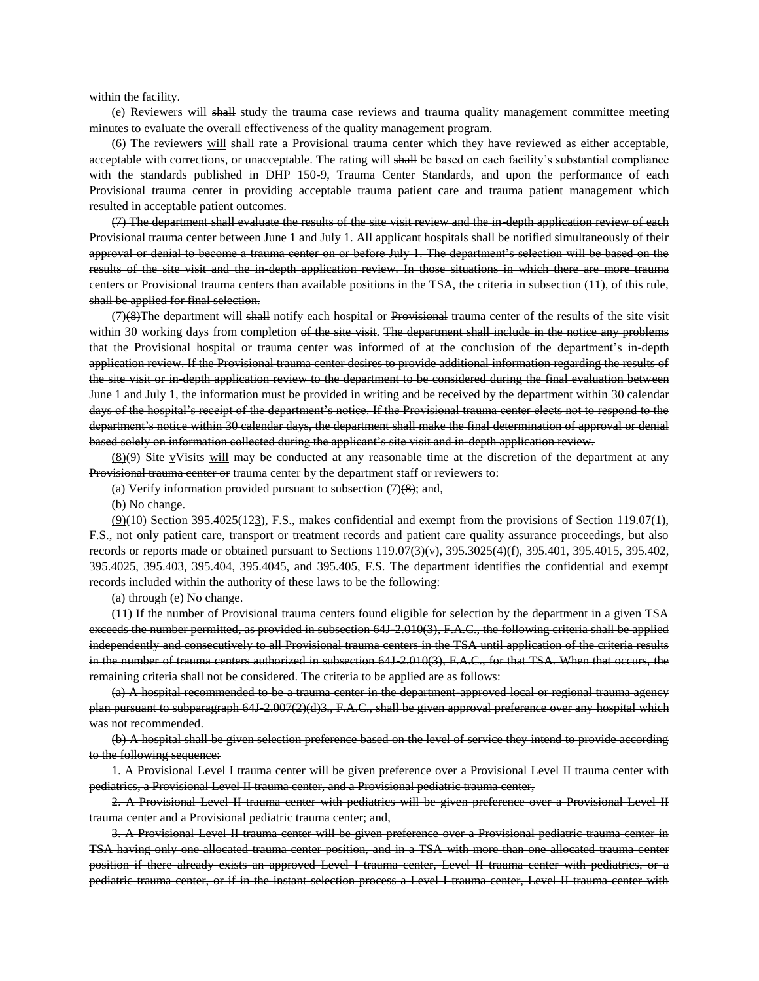within the facility.

(e) Reviewers will shall study the trauma case reviews and trauma quality management committee meeting minutes to evaluate the overall effectiveness of the quality management program.

(6) The reviewers will shall rate a Provisional trauma center which they have reviewed as either acceptable, acceptable with corrections, or unacceptable. The rating will shall be based on each facility's substantial compliance with the standards published in DHP 150-9, Trauma Center Standards, and upon the performance of each Provisional trauma center in providing acceptable trauma patient care and trauma patient management which resulted in acceptable patient outcomes.

(7) The department shall evaluate the results of the site visit review and the in-depth application review of each Provisional trauma center between June 1 and July 1. All applicant hospitals shall be notified simultaneously of their approval or denial to become a trauma center on or before July 1. The department's selection will be based on the results of the site visit and the in-depth application review. In those situations in which there are more trauma centers or Provisional trauma centers than available positions in the TSA, the criteria in subsection (11), of this rule, shall be applied for final selection.

 $(7)(8)$ The department will shall notify each hospital or Provisional trauma center of the results of the site visit within 30 working days from completion of the site visit. The department shall include in the notice any problems that the Provisional hospital or trauma center was informed of at the conclusion of the department's in-depth application review. If the Provisional trauma center desires to provide additional information regarding the results of the site visit or in-depth application review to the department to be considered during the final evaluation between June 1 and July 1, the information must be provided in writing and be received by the department within 30 calendar days of the hospital's receipt of the department's notice. If the Provisional trauma center elects not to respond to the department's notice within 30 calendar days, the department shall make the final determination of approval or denial based solely on information collected during the applicant's site visit and in-depth application review.

 $(8)$ (9) Site vVisits will may be conducted at any reasonable time at the discretion of the department at any Provisional trauma center or trauma center by the department staff or reviewers to:

(a) Verify information provided pursuant to subsection  $(7)(8)$ ; and,

(b) No change.

 $(9)$ (40) Section 395.4025(123), F.S., makes confidential and exempt from the provisions of Section 119.07(1), F.S., not only patient care, transport or treatment records and patient care quality assurance proceedings, but also records or reports made or obtained pursuant to Sections 119.07(3)(v), 395.3025(4)(f), 395.401, 395.4015, 395.402, 395.4025, 395.403, 395.404, 395.4045, and 395.405, F.S. The department identifies the confidential and exempt records included within the authority of these laws to be the following:

(a) through (e) No change.

(11) If the number of Provisional trauma centers found eligible for selection by the department in a given TSA exceeds the number permitted, as provided in subsection 64J-2.010(3), F.A.C., the following criteria shall be applied independently and consecutively to all Provisional trauma centers in the TSA until application of the criteria results in the number of trauma centers authorized in subsection 64J-2.010(3), F.A.C., for that TSA. When that occurs, the remaining criteria shall not be considered. The criteria to be applied are as follows:

(a) A hospital recommended to be a trauma center in the department-approved local or regional trauma agency plan pursuant to subparagraph 64J-2.007(2)(d)3., F.A.C., shall be given approval preference over any hospital which was not recommended.

(b) A hospital shall be given selection preference based on the level of service they intend to provide according to the following sequence:

1. A Provisional Level I trauma center will be given preference over a Provisional Level II trauma center with pediatrics, a Provisional Level II trauma center, and a Provisional pediatric trauma center,

2. A Provisional Level II trauma center with pediatrics will be given preference over a Provisional Level II trauma center and a Provisional pediatric trauma center; and,

3. A Provisional Level II trauma center will be given preference over a Provisional pediatric trauma center in TSA having only one allocated trauma center position, and in a TSA with more than one allocated trauma center position if there already exists an approved Level I trauma center, Level II trauma center with pediatrics, or a pediatric trauma center, or if in the instant selection process a Level I trauma center, Level II trauma center with